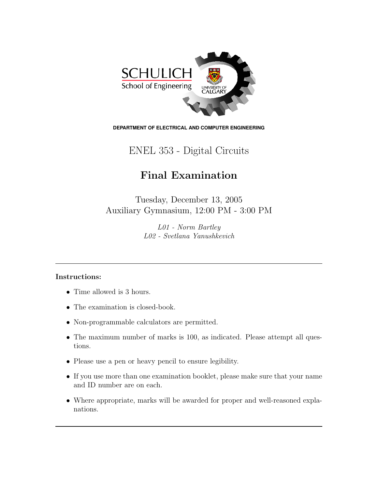

**DEPARTMENT OF ELECTRICAL AND COMPUTER ENGINEERING**

## ENEL 353 - Digital Circuits

## Final Examination

Tuesday, December 13, 2005 Auxiliary Gymnasium, 12:00 PM - 3:00 PM

> L01 - Norm Bartley L02 - Svetlana Yanushkevich

## Instructions:

- Time allowed is 3 hours.
- The examination is closed-book.
- Non-programmable calculators are permitted.
- The maximum number of marks is 100, as indicated. Please attempt all questions.
- Please use a pen or heavy pencil to ensure legibility.
- If you use more than one examination booklet, please make sure that your name and ID number are on each.
- Where appropriate, marks will be awarded for proper and well-reasoned explanations.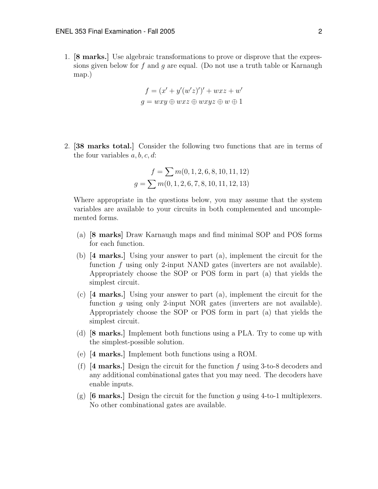1. [8 marks.] Use algebraic transformations to prove or disprove that the expressions given below for f and q are equal. (Do not use a truth table or Karnaugh map.)

$$
f = (x' + y'(w'z)')' + wxz + w'
$$
  

$$
g = wxy \oplus wxz \oplus wxyz \oplus w \oplus 1
$$

2. [38 marks total.] Consider the following two functions that are in terms of the four variables  $a, b, c, d$ :

$$
f = \sum m(0, 1, 2, 6, 8, 10, 11, 12)
$$

$$
g = \sum m(0, 1, 2, 6, 7, 8, 10, 11, 12, 13)
$$

Where appropriate in the questions below, you may assume that the system variables are available to your circuits in both complemented and uncomplemented forms.

- (a) [8 marks] Draw Karnaugh maps and find minimal SOP and POS forms for each function.
- (b) [4 marks.] Using your answer to part (a), implement the circuit for the function f using only 2-input NAND gates (inverters are not available). Appropriately choose the SOP or POS form in part (a) that yields the simplest circuit.
- (c) [4 marks.] Using your answer to part (a), implement the circuit for the function q using only 2-input NOR gates (inverters are not available). Appropriately choose the SOP or POS form in part (a) that yields the simplest circuit.
- (d) [8 marks.] Implement both functions using a PLA. Try to come up with the simplest-possible solution.
- (e) [4 marks.] Implement both functions using a ROM.
- (f)  $[4 \text{ marks}]$  Design the circuit for the function f using 3-to-8 decoders and any additional combinational gates that you may need. The decoders have enable inputs.
- (g)  $[6 \text{ marks}]$  Design the circuit for the function q using 4-to-1 multiplexers. No other combinational gates are available.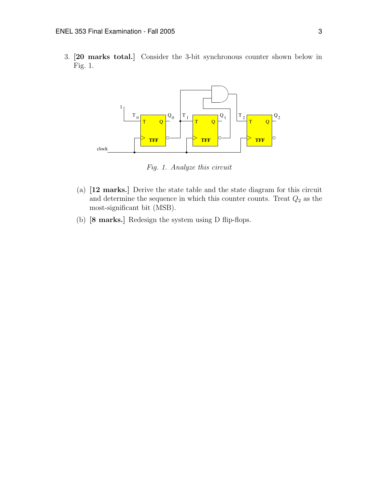3. [20 marks total.] Consider the 3-bit synchronous counter shown below in Fig. 1.



Fig. 1. Analyze this circuit

- (a) [12 marks.] Derive the state table and the state diagram for this circuit and determine the sequence in which this counter counts. Treat  $Q_2$  as the most-significant bit (MSB).
- (b) [8 marks.] Redesign the system using D flip-flops.